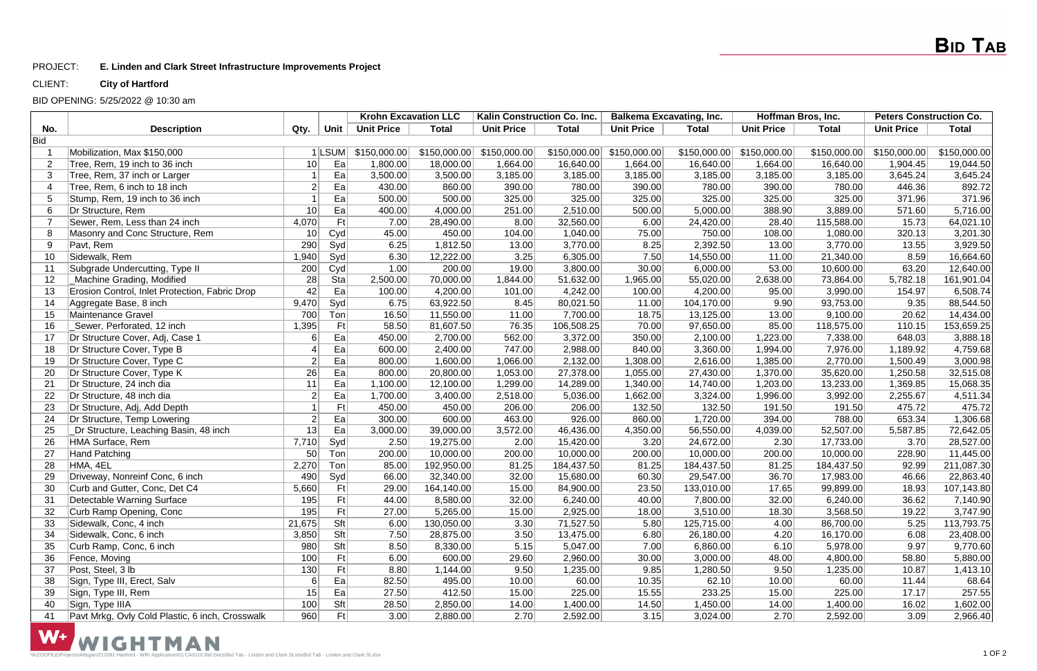### PROJECT: **E. Linden and Clark Street Infrastructure Improvements Project**

### CLIENT: **City of Hartford**

### BID OPENING: 5/25/2022 @ 10:30 am

|                |                                                 |                 |             | <b>Krohn Excavation LLC</b> |              | Kalin Construction Co. Inc. |              | <b>Balkema Excavating, Inc.</b> |              | Hoffman Bros, Inc. |              | <b>Peters Construction Co.</b> |              |
|----------------|-------------------------------------------------|-----------------|-------------|-----------------------------|--------------|-----------------------------|--------------|---------------------------------|--------------|--------------------|--------------|--------------------------------|--------------|
| No.            | <b>Description</b>                              | Qty.            | <b>Unit</b> | <b>Unit Price</b>           | <b>Total</b> | <b>Unit Price</b>           | <b>Total</b> | <b>Unit Price</b>               | <b>Total</b> | <b>Unit Price</b>  | <b>Total</b> | <b>Unit Price</b>              | <b>Total</b> |
| <b>Bid</b>     |                                                 |                 |             |                             |              |                             |              |                                 |              |                    |              |                                |              |
|                | Mobilization, Max \$150,000                     |                 | $1$  LSUM   | \$150,000.00                | \$150,000.00 | \$150,000.00                | \$150,000.00 | \$150,000.00                    | \$150,000.00 | \$150,000.00       | \$150,000.00 | \$150,000.00                   | \$150,000.00 |
| $\overline{2}$ | Tree, Rem, 19 inch to 36 inch                   | 10              | Ea          | 1,800.00                    | 18,000.00    | 1,664.00                    | 16,640.00    | 1,664.00                        | 16,640.00    | 1,664.00           | 16,640.00    | 1,904.45                       | 19,044.50    |
| 3              | Tree, Rem, 37 inch or Larger                    |                 | Ea          | 3,500.00                    | 3,500.00     | 3,185.00                    | 3,185.00     | 3,185.00                        | 3,185.00     | 3,185.00           | 3,185.00     | 3,645.24                       | 3,645.24     |
| $\overline{4}$ | Tree, Rem, 6 inch to 18 inch                    | $\overline{2}$  | Ea          | 430.00                      | 860.00       | 390.00                      | 780.00       | 390.00                          | 780.00       | 390.00             | 780.00       | 446.36                         | 892.72       |
| 5              | Stump, Rem, 19 inch to 36 inch                  |                 | Ea          | 500.00                      | 500.00       | 325.00                      | 325.00       | 325.00                          | 325.00       | 325.00             | 325.00       | 371.96                         | 371.96       |
| 6              | Dr Structure, Rem                               | 10              | Ea          | 400.00                      | 4,000.00     | 251.00                      | 2,510.00     | 500.00                          | 5,000.00     | 388.90             | 3,889.00     | 571.60                         | 5,716.00     |
|                | Sewer, Rem, Less than 24 inch                   | 4,070           | Ft          | 7.00                        | 28,490.00    | 8.00                        | 32,560.00    | 6.00                            | 24,420.00    | 28.40              | 115,588.00   | 15.73                          | 64,021.10    |
| 8              | Masonry and Conc Structure, Rem                 | 10              | Cyd         | 45.00                       | 450.00       | 104.00                      | 1,040.00     | 75.00                           | 750.00       | 108.00             | 1,080.00     | 320.13                         | 3,201.30     |
| 9              | Pavt, Rem                                       | 290             | Syd         | 6.25                        | 1,812.50     | 13.00                       | 3,770.00     | 8.25                            | 2,392.50     | 13.00              | 3,770.00     | 13.55                          | 3,929.50     |
| 10             | Sidewalk, Rem                                   | 1,940           | Syd         | 6.30                        | 12,222.00    | 3.25                        | 6,305.00     | 7.50                            | 14,550.00    | 11.00              | 21,340.00    | 8.59                           | 16,664.60    |
| 11             | Subgrade Undercutting, Type II                  | 200             | Cyd         | 1.00                        | 200.00       | 19.00                       | 3,800.00     | 30.00                           | 6,000.00     | 53.00              | 10,600.00    | 63.20                          | 12,640.00    |
| 12             | Machine Grading, Modified                       | 28              | Sta         | 2,500.00                    | 70,000.00    | 1,844.00                    | 51,632.00    | 1,965.00                        | 55,020.00    | 2,638.00           | 73,864.00    | 5,782.18                       | 161,901.04   |
| 13             | Erosion Control, Inlet Protection, Fabric Drop  | 42              | Ea          | 100.00                      | 4,200.00     | 101.00                      | 4,242.00     | 100.00                          | 4,200.00     | 95.00              | 3,990.00     | 154.97                         | 6,508.74     |
| 14             | Aggregate Base, 8 inch                          | 9,470           | Syd         | 6.75                        | 63,922.50    | 8.45                        | 80,021.50    | 11.00                           | 104,170.00   | 9.90               | 93,753.00    | 9.35                           | 88,544.50    |
| 15             | Maintenance Gravel                              | 700             | Ton         | 16.50                       | 11,550.00    | 11.00                       | 7,700.00     | 18.75                           | 13,125.00    | 13.00              | 9,100.00     | 20.62                          | 14,434.00    |
| 16             | Sewer, Perforated, 12 inch                      | 1,395           | Ft          | 58.50                       | 81,607.50    | 76.35                       | 106,508.25   | 70.00                           | 97,650.00    | 85.00              | 118,575.00   | 110.15                         | 153,659.25   |
| 17             | Dr Structure Cover, Adj, Case 1                 | $6 \mid$        | Ea          | 450.00                      | 2,700.00     | 562.00                      | 3,372.00     | 350.00                          | 2,100.00     | 1,223.00           | 7,338.00     | 648.03                         | 3,888.18     |
| 18             | Dr Structure Cover, Type B                      |                 | Ea          | 600.00                      | 2,400.00     | 747.00                      | 2,988.00     | 840.00                          | 3,360.00     | 1,994.00           | 7,976.00     | 1,189.92                       | 4,759.68     |
| 19             | Dr Structure Cover, Type C                      | $\overline{2}$  | Ea          | 800.00                      | 1,600.00     | 1,066.00                    | 2,132.00     | 1,308.00                        | 2,616.00     | 1,385.00           | 2,770.00     | 1,500.49                       | 3,000.98     |
| 20             | Dr Structure Cover, Type K                      | 26              | Ea          | 800.00                      | 20,800.00    | 1,053.00                    | 27,378.00    | 1,055.00                        | 27,430.00    | 1,370.00           | 35,620.00    | 1,250.58                       | 32,515.08    |
| 21             | Dr Structure, 24 inch dia                       | 11              | Ea          | 1,100.00                    | 12,100.00    | 1,299.00                    | 14,289.00    | 1,340.00                        | 14,740.00    | 1,203.00           | 13,233.00    | 1,369.85                       | 15,068.35    |
| 22             | Dr Structure, 48 inch dia                       | $\vert 2 \vert$ | Ea          | 1,700.00                    | 3,400.00     | 2,518.00                    | 5,036.00     | 1,662.00                        | 3,324.00     | 1,996.00           | 3,992.00     | 2,255.67                       | 4,511.34     |
| 23             | Dr Structure, Adj, Add Depth                    |                 | Ft          | 450.00                      | 450.00       | 206.00                      | 206.00       | 132.50                          | 132.50       | 191.50             | 191.50       | 475.72                         | 475.72       |
| 24             | Dr Structure, Temp Lowering                     | $\overline{2}$  | Ea          | 300.00                      | 600.00       | 463.00                      | 926.00       | 860.00                          | 1,720.00     | 394.00             | 788.00       | 653.34                         | 1,306.68     |
| 25             | Dr Structure, Leaching Basin, 48 inch           | 13              | Ea          | 3,000.00                    | 39,000.00    | 3,572.00                    | 46,436.00    | 4,350.00                        | 56,550.00    | 4,039.00           | 52,507.00    | 5,587.85                       | 72,642.05    |
| 26             | HMA Surface, Rem                                | 7,710           | Syd         | 2.50                        | 19,275.00    | 2.00                        | 15,420.00    | 3.20                            | 24,672.00    | 2.30               | 17,733.00    | 3.70                           | 28,527.00    |
| 27             | <b>Hand Patching</b>                            | 50              | $T$ on      | 200.00                      | 10,000.00    | 200.00                      | 10,000.00    | 200.00                          | 10,000.00    | 200.00             | 10,000.00    | 228.90                         | 11,445.00    |
| 28             | HMA, 4EL                                        | 2,270           | Ton         | 85.00                       | 192,950.00   | 81.25                       | 184,437.50   | 81.25                           | 184,437.50   | 81.25              | 184,437.50   | 92.99                          | 211,087.30   |
| 29             | Driveway, Nonreinf Conc, 6 inch                 | 490             | Syd         | 66.00                       | 32,340.00    | 32.00                       | 15,680.00    | 60.30                           | 29,547.00    | 36.70              | 17,983.00    | 46.66                          | 22,863.40    |
| 30             | Curb and Gutter, Conc, Det C4                   | 5,660           | Ft          | 29.00                       | 164,140.00   | 15.00                       | 84,900.00    | 23.50                           | 133,010.00   | 17.65              | 99,899.00    | 18.93                          | 107,143.80   |
|                | Detectable Warning Surface                      | 195             | Ft          | 44.00                       | 8,580.00     | 32.00                       | 6,240.00     | 40.00                           | 7,800.00     | 32.00              | 6,240.00     | 36.62                          | 7,140.90     |
| 32             | Curb Ramp Opening, Conc                         | 195             | Ft          | 27.00                       | 5,265.00     | 15.00                       | 2,925.00     | 18.00                           | 3,510.00     | 18.30              | 3,568.50     | 19.22                          | 3,747.90     |
| 33             | Sidewalk, Conc, 4 inch                          | 21,675          | Sft         | 6.00                        | 130,050.00   | 3.30                        | 71,527.50    | 5.80                            | 125,715.00   | 4.00               | 86,700.00    | 5.25                           | 113,793.75   |
| 34             | Sidewalk, Conc, 6 inch                          | 3,850           | Sft         | 7.50                        | 28,875.00    | 3.50                        | 13,475.00    | 6.80                            | 26,180.00    | 4.20               | 16,170.00    | 6.08                           | 23,408.00    |
| 35             | Curb Ramp, Conc, 6 inch                         | 980             | Sft         | 8.50                        | 8,330.00     | 5.15                        | 5,047.00     | 7.00                            | 6,860.00     | 6.10               | 5,978.00     | 9.97                           | 9,770.60     |
| 36             | Fence, Moving                                   | 100             | Ft          | 6.00                        | 600.00       | 29.60                       | 2,960.00     | 30.00                           | 3,000.00     | 48.00              | 4,800.00     | 58.80                          | 5,880.00     |
| 37             | Post, Steel, 3 lb                               | 130             | Ft          | 8.80                        | 1,144.00     | 9.50                        | 1,235.00     | 9.85                            | 1,280.50     | 9.50               | 1,235.00     | 10.87                          | 1,413.10     |
| 38             | Sign, Type III, Erect, Salv                     | $6 \mid$        | Ea          | 82.50                       | 495.00       | 10.00                       | 60.00        | 10.35                           | 62.10        | 10.00              | 60.00        | 11.44                          | 68.64        |
| 39             | Sign, Type III, Rem                             | 15              | Ea          | 27.50                       | 412.50       | 15.00                       | 225.00       | 15.55                           | 233.25       | 15.00              | 225.00       | 17.17                          | 257.55       |
| 40             | Sign, Type IIIA                                 | 100             | Sft         | 28.50                       | 2,850.00     | 14.00                       | 1,400.00     | 14.50                           | 1,450.00     | 14.00              | 1,400.00     | 16.02                          | 1,602.00     |
| 41             | Pavt Mrkg, Ovly Cold Plastic, 6 inch, Crosswalk | 960             | Ft          | 3.00                        | 2,880.00     | 2.70                        | 2,592.00     | 3.15                            | 3,024.00     | 2.70               | 2,592.00     | 3.09                           | 2,966.40     |



\\KZOOFILE\Projects\Allegan\212081 Hartford - WRI Application\G) CA\G10 Bid Docs\Bid Tab - Linden and Clark St.xlsxBid Tab - Linden and Clark St.xlsxBid Tab - Linden and Clark St.xlsxBid Tab - Linden and Clark St.xlsx 1 OF

# **BID TAB**